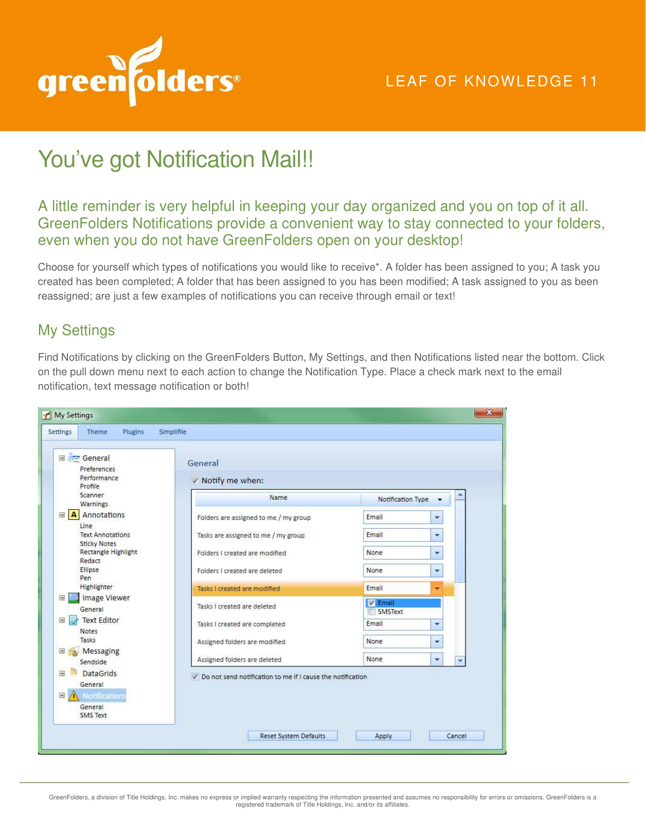

# You've got Notification Mail!!

#### A little reminder is very helpful in keeping your day organized and you on top of it all. GreenFolders Notifications provide a convenient way to stay connected to your folders, even when you do not have GreenFolders open on your desktop!

Choose for yourself which types of notifications you would like to receive\*. A folder has been assigned to you; A task you created has been completed; A folder that has been assigned to you has been modified; A task assigned to you as been reassigned; are just a few examples of notifications you can receive through email or text!

## My Settings

Find Notifications by clicking on the GreenFolders Button, My Settings, and then Notifications listed near the bottom. Click on the pull down menu next to each action to change the Notification Type. Place a check mark next to the email notification, text message notification or both!

| $\equiv$ General<br>Preferences                                                         | General                                                      |                    |  |
|-----------------------------------------------------------------------------------------|--------------------------------------------------------------|--------------------|--|
| Performance<br>Profile                                                                  | V Notify me when:                                            |                    |  |
| Scanner<br>Warnings                                                                     | Name                                                         | Notification Type  |  |
| A Annotations                                                                           | Folders are assigned to me / my group                        | Email<br>▼         |  |
| Line<br><b>Text Annotations</b><br><b>Sticky Notes</b><br>Rectangle Highlight<br>Redact | Tasks are assigned to me / my group                          | Email<br>٠         |  |
|                                                                                         | Folders I created are modified                               | None<br>٠          |  |
| Ellipse<br>Pen                                                                          | Folders I created are deleted                                | None<br>۰          |  |
| Highlighter                                                                             | Tasks I created are modified                                 | Email<br>٠         |  |
| <b>Image Viewer</b><br>Ξ<br>General                                                     | Tasks I created are deleted                                  | V Email<br>SMSText |  |
| 国国<br><b>Text Editor</b><br>Notes                                                       | Tasks I created are completed                                | Email<br>٠         |  |
| Tasks                                                                                   | Assigned folders are modified                                | <b>None</b><br>٠   |  |
| Messaging<br>Sendside                                                                   | Assigned folders are deleted                                 | None<br>×          |  |
| <b>DataGrids</b><br>$\overline{a}$<br>General                                           | √ Do not send notification to me if I cause the notification |                    |  |
| 圖<br>Notifications                                                                      |                                                              |                    |  |
| General<br>SMS Text                                                                     |                                                              |                    |  |

GreenFolders, a division of Title Holdings, Inc. makes no express or implied warranty respecting the information presented and assumes no responsibility for errors or omissions. GreenFolders is a<br>registered trademark of Ti